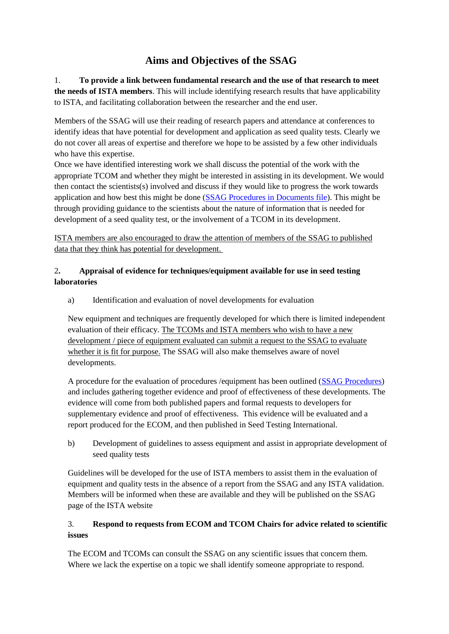## **Aims and Objectives of the SSAG**

1. **To provide a link between fundamental research and the use of that research to meet the needs of ISTA members**. This will include identifying research results that have applicability to ISTA, and facilitating collaboration between the researcher and the end user.

Members of the SSAG will use their reading of research papers and attendance at conferences to identify ideas that have potential for development and application as seed quality tests. Clearly we do not cover all areas of expertise and therefore we hope to be assisted by a few other individuals who have this expertise.

Once we have identified interesting work we shall discuss the potential of the work with the appropriate TCOM and whether they might be interested in assisting in its development. We would then contact the scientists(s) involved and discuss if they would like to progress the work towards application and how best this might be done [\(SSAG Procedures](https://www.seedtest.org/upload/cms/user/TCOM-TG-05-ProcedureswithintheSSAG-V1.0.pdf) in Documents file). This might be through providing guidance to the scientists about the nature of information that is needed for development of a seed quality test, or the involvement of a TCOM in its development.

ISTA members are also encouraged to draw the attention of members of the SSAG to published data that they think has potential for development.

## 2**. Appraisal of evidence for techniques/equipment available for use in seed testing laboratories**

a) Identification and evaluation of novel developments for evaluation

New equipment and techniques are frequently developed for which there is limited independent evaluation of their efficacy. The TCOMs and ISTA members who wish to have a new development / piece of equipment evaluated can submit a request to the SSAG to evaluate whether it is fit for purpose. The SSAG will also make themselves aware of novel developments.

A procedure for the evaluation of procedures /equipment has been outlined [\(SSAG Procedures\)](https://www.seedtest.org/upload/cms/user/TCOM-TG-05-ProcedureswithintheSSAG-V1.0.pdf) and includes gathering together evidence and proof of effectiveness of these developments. The evidence will come from both published papers and formal requests to developers for supplementary evidence and proof of effectiveness. This evidence will be evaluated and a report produced for the ECOM, and then published in Seed Testing International.

b) Development of guidelines to assess equipment and assist in appropriate development of seed quality tests

Guidelines will be developed for the use of ISTA members to assist them in the evaluation of equipment and quality tests in the absence of a report from the SSAG and any ISTA validation. Members will be informed when these are available and they will be published on the SSAG page of the ISTA website

## 3. **Respond to requests from ECOM and TCOM Chairs for advice related to scientific issues**

The ECOM and TCOMs can consult the SSAG on any scientific issues that concern them. Where we lack the expertise on a topic we shall identify someone appropriate to respond.